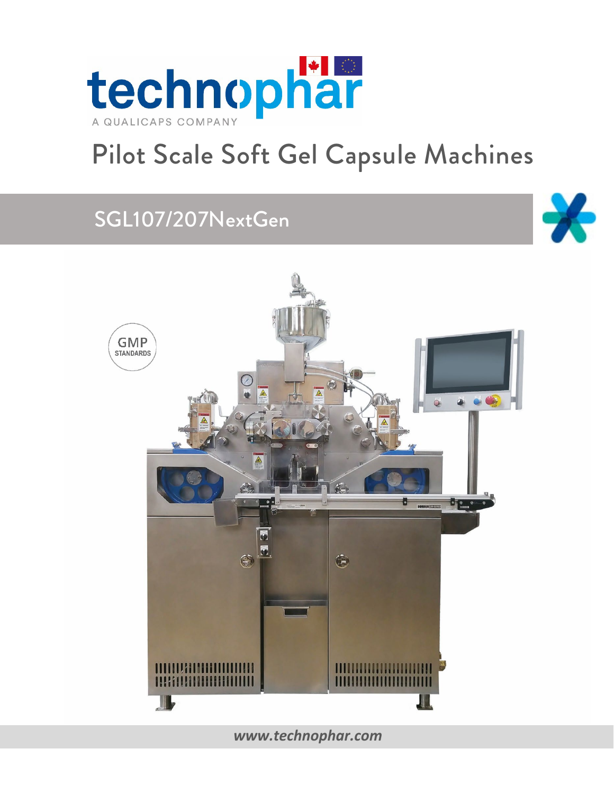

# Pilot Scale Soft Gel Capsule Machines

# SGL107/207NextGen





### *[www.technophar.com](http://www.technophar.com/)*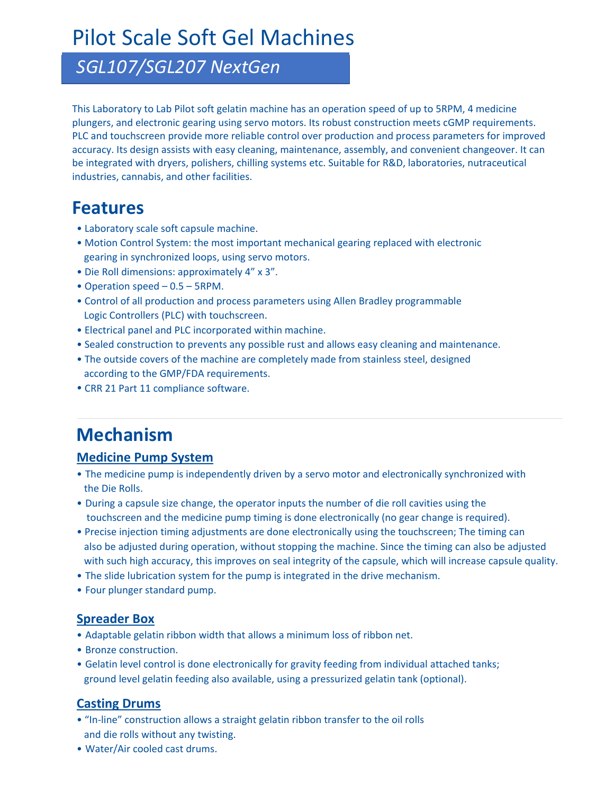## Pilot Scale Soft Gel Machines

### *SGL107/SGL207 NextGen*

This Laboratory to Lab Pilot soft gelatin machine has an operation speed of up to 5RPM, 4 medicine plungers, and electronic gearing using servo motors. Its robust construction meets cGMP requirements. PLC and touchscreen provide more reliable control over production and process parameters for improved accuracy. Its design assists with easy cleaning, maintenance, assembly, and convenient changeover. It can be integrated with dryers, polishers, chilling systems etc. Suitable for R&D, laboratories, nutraceutical industries, cannabis, and other facilities.

### **Features**

- Laboratory scale soft capsule machine.
- Motion Control System: the most important mechanical gearing replaced with electronic gearing in synchronized loops, using servo motors.
- Die Roll dimensions: approximately 4" x 3".
- Operation speed 0.5 5RPM.
- Control of all production and process parameters using Allen Bradley programmable Logic Controllers (PLC) with touchscreen.
- Electrical panel and PLC incorporated within machine.
- Sealed construction to prevents any possible rust and allows easy cleaning and maintenance.
- The outside covers of the machine are completely made from stainless steel, designed according to the GMP/FDA requirements.
- CRR 21 Part 11 compliance software.

### **Mechanism**

#### **Medicine Pump System**

- The medicine pump is independently driven by a servo motor and electronically synchronized with the Die Rolls.
- During a capsule size change, the operator inputs the number of die roll cavities using the touchscreen and the medicine pump timing is done electronically (no gear change is required).
- Precise injection timing adjustments are done electronically using the touchscreen; The timing can also be adjusted during operation, without stopping the machine. Since the timing can also be adjusted with such high accuracy, this improves on seal integrity of the capsule, which will increase capsule quality.
- The slide lubrication system for the pump is integrated in the drive mechanism.
- Four plunger standard pump.

#### **Spreader Box**

- Adaptable gelatin ribbon width that allows a minimum loss of ribbon net.
- Bronze construction.
- Gelatin level control is done electronically for gravity feeding from individual attached tanks; ground level gelatin feeding also available, using a pressurized gelatin tank (optional).

#### **Casting Drums**

- "In-line" construction allows a straight gelatin ribbon transfer to the oil rolls and die rolls without any twisting.
- Water/Air cooled cast drums.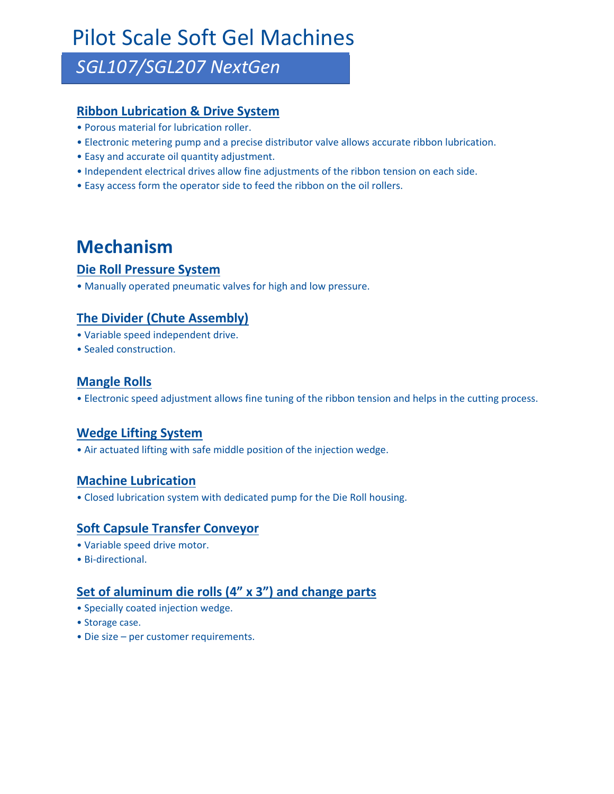# Pilot Scale Soft Gel Machines

### *SGL107/SGL207 NextGen*

#### **Ribbon Lubrication & Drive System**

- Porous material for lubrication roller.
- Electronic metering pump and a precise distributor valve allows accurate ribbon lubrication.
- Easy and accurate oil quantity adjustment.
- Independent electrical drives allow fine adjustments of the ribbon tension on each side.
- Easy access form the operator side to feed the ribbon on the oil rollers.

### **Mechanism**

#### **Die Roll Pressure System**

• Manually operated pneumatic valves for high and low pressure.

### **The Divider (Chute Assembly)**

- Variable speed independent drive.
- Sealed construction.

#### **Mangle Rolls**

• Electronic speed adjustment allows fine tuning of the ribbon tension and helps in the cutting process.

#### **Wedge Lifting System**

• Air actuated lifting with safe middle position of the injection wedge.

#### **Machine Lubrication**

• Closed lubrication system with dedicated pump for the Die Roll housing.

### **Soft Capsule Transfer Conveyor**

- Variable speed drive motor.
- Bi-directional.

### **Set of aluminum die rolls (4" x 3") and change parts**

- Specially coated injection wedge.
- Storage case.
- Die size per customer requirements.